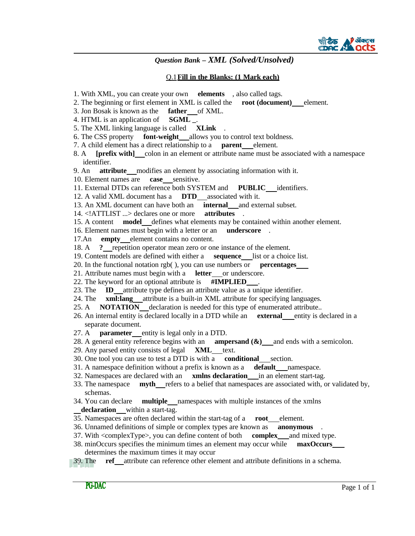

#### Q.1**Fill in the Blanks: (1 Mark each)**

- 1. With XML, you can create your own **elements** , also called tags.
- 2. The beginning or first element in XML is called the **root (document)** element.
- 3. Jon Bosak is known as the **father** of XML.
- 4. HTML is an application of **SGML \_**.
- 5. The XML linking language is called **XLink** .
- 6. The CSS property **font-weight** allows you to control text boldness.
- 7. A child element has a direct relationship to a **parent** element.
- 8. A **[prefix with]** colon in an element or attribute name must be associated with a namespace identifier.
- 9. An **attribute** modifies an element by associating information with it.
- 10. Element names are **case** sensitive.
- 11. External DTDs can reference both SYSTEM and **PUBLIC** identifiers.
- 12. A valid XML document has a **DTD** associated with it.
- 13. An XML document can have both an **internal** and external subset.
- 14. <!ATTLIST ...> declares one or more **attributes** .
- 15. A content **model** defines what elements may be contained within another element.
- 16. Element names must begin with a letter or an **underscore** .
- 17.An **empty** element contains no content.
- 18. A **?** repetition operator mean zero or one instance of the element.
- 19. Content models are defined with either a **sequence** list or a choice list.
- 20. In the functional notation rgb( ), you can use numbers or **percentages**
- 21. Attribute names must begin with a **letter** or underscore.
- 22. The keyword for an optional attribute is **#IMPLIED** .
- 23. The **ID** attribute type defines an attribute value as a unique identifier.
- 24. The **xml:lang** attribute is a built-in XML attribute for specifying languages.
- 25. A **NOTATION** declaration is needed for this type of enumerated attribute..
- 26. An internal entity is declared locally in a DTD while an **external** entity is declared in a separate document.
- 27. A **parameter** entity is legal only in a DTD.
- 28. A general entity reference begins with an **ampersand (&)** and ends with a semicolon.
- 29. Any parsed entity consists of legal **XML** text.
- 30. One tool you can use to test a DTD is with a **conditional** section.
- 31. A namespace definition without a prefix is known as a **default** namespace.
- 32. Namespaces are declared with an **xmlns declaration** in an element start-tag.
- 33. The namespace **myth** refers to a belief that namespaces are associated with, or validated by, schemas.
- 34. You can declare **multiple** namespaces with multiple instances of the xmlns **declaration** within a start-tag.
- 35. Namespaces are often declared within the start-tag of a **root** element.
- 36. Unnamed definitions of simple or complex types are known as **anonymous** .
- 37. With <complexType>, you can define content of both **complex** and mixed type.
- 38. minOccurs specifies the minimum times an element may occur while **maxOccurs** determines the maximum times it may occur
- 39. The **ref** attribute can reference other element and attribute definitions in a schema.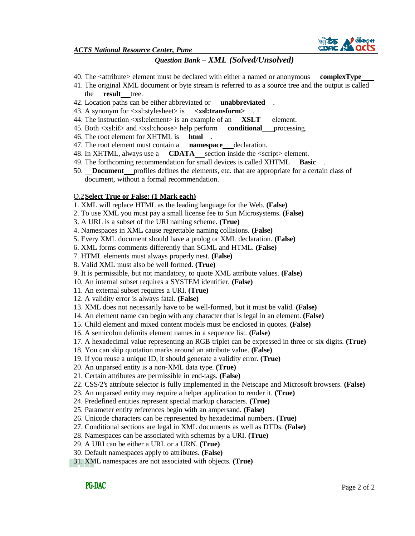

*ACTS National Resource Center, Pune*

# *Question Bank – XML (Solved/Unsolved)*

- 40. The <attribute> element must be declared with either a named or anonymous **complexType**
- 41. The original XML document or byte stream is referred to as a source tree and the output is called the **result** tree.
- 42. Location paths can be either abbreviated or **unabbreviated** .
- 43. A synonym for <xsl:stylesheet> is **<xsl:transform>** .
- 44. The instruction <xsl:element> is an example of an **XSLT** element.
- 45. Both <xsl:if> and <xsl:choose> help perform **conditional** processing.
- 46. The root element for XHTML is **html** .
- 47. The root element must contain a **namespace** declaration.
- 48. In XHTML, always use a **CDATA** section inside the <script> element.
- 49. The forthcoming recommendation for small devices is called XHTML **Basic** .
- 50. **Document** profiles defines the elements, etc. that are appropriate for a certain class of document, without a formal recommendation.

#### Q.2**Select True or False: (1 Mark each)**

- 1. XML will replace HTML as the leading language for the Web. **(False)**
- 2. To use XML you must pay a small license fee to Sun Microsystems. **(False)**
- 3. A URL is a subset of the URI naming scheme. **(True)**
- 4. Namespaces in XML cause regrettable naming collisions. **(False)**
- 5. Every XML document should have a prolog or XML declaration. **(False)**
- 6. XML forms comments differently than SGML and HTML. **(False)**
- 7. HTML elements must always properly nest. **(False)**
- 8. Valid XML must also be well formed. **(True)**
- 9. It is permissible, but not mandatory, to quote XML attribute values. **(False)**
- 10. An internal subset requires a SYSTEM identifier. **(False)**
- 11. An external subset requires a URI. **(True)**
- 12. A validity error is always fatal. **(False)**
- 13. XML does not necessarily have to be well-formed, but it must be valid. **(False)**
- 14. An element name can begin with any character that is legal in an element. **(False)**
- 15. Child element and mixed content models must be enclosed in quotes. **(False)**
- 16. A semicolon delimits element names in a sequence list. **(False)**
- 17. A hexadecimal value representing an RGB triplet can be expressed in three or six digits. **(True)**
- 18. You can skip quotation marks around an attribute value. **(False)**
- 19. If you reuse a unique ID, it should generate a validity error. **(True)**
- 20. An unparsed entity is a non-XML data type. **(True)**
- 21. Certain attributes are permissible in end-tags. **(False)**
- 22. CSS/2's attribute selector is fully implemented in the Netscape and Microsoft browsers. **(False)**
- 23. An unparsed entity may require a helper application to render it. **(True)**
- 24. Predefined entities represent special markup characters. **(True)**
- 25. Parameter entity references begin with an ampersand. **(False)**
- 26. Unicode characters can be represented by hexadecimal numbers. **(True)**
- 27. Conditional sections are legal in XML documents as well as DTDs. **(False)**
- 28. Namespaces can be associated with schemas by a URI. **(True)**
- 29. A URI can be either a URL or a URN. **(True)**
- 30. Default namespaces apply to attributes. **(False)**
- 31. XML namespaces are not associated with objects. **(True)**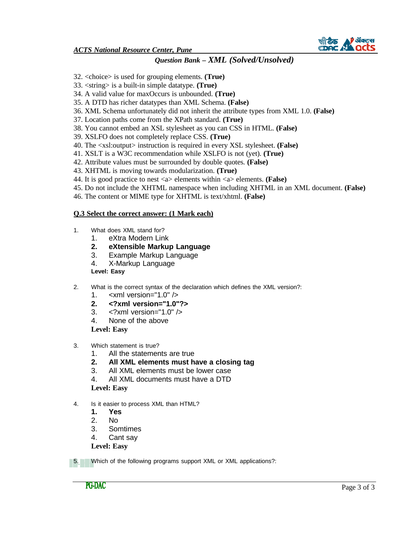

*ACTS National Resource Center, Pune*

## *Question Bank – XML (Solved/Unsolved)*

- 32. <choice> is used for grouping elements. **(True)**
- 33. <string> is a built-in simple datatype. **(True)**
- 34. A valid value for maxOccurs is unbounded. **(True)**
- 35. A DTD has richer datatypes than XML Schema. **(False)**
- 36. XML Schema unfortunately did not inherit the attribute types from XML 1.0. **(False)**
- 37. Location paths come from the XPath standard. **(True)**
- 38. You cannot embed an XSL stylesheet as you can CSS in HTML. **(False)**
- 39. XSLFO does not completely replace CSS. **(True)**
- 40. The <xsl:output> instruction is required in every XSL stylesheet. **(False)**
- 41. XSLT is a W3C recommendation while XSLFO is not (yet). **(True)**
- 42. Attribute values must be surrounded by double quotes. **(False)**
- 43. XHTML is moving towards modularization. **(True)**
- 44. It is good practice to nest <a> elements within <a> elements. **(False)**
- 45. Do not include the XHTML namespace when including XHTML in an XML document. **(False)**
- 46. The content or MIME type for XHTML is text/xhtml. **(False)**

### **Q.3 Select the correct answer: (1 Mark each)**

- 1. What does XML stand for?
	- 1. eXtra Modern Link
	- **2. eXtensible Markup Language**
	- 3. Example Markup Language
	- 4. X-Markup Language

**Level: Easy**

- 2. What is the correct syntax of the declaration which defines the XML version?:
	- 1. <xml version="1.0" />
	- **2. <?xml version="1.0"?>**
	- 3. <?xml version="1.0" />
	- 4. None of the above

**Level: Easy**

- 3. Which statement is true?
	- 1. All the statements are true
	- **2. All XML elements must have a closing tag**
	- 3. All XML elements must be lower case
	- 4. All XML documents must have a DTD

**Level: Easy**

- 4. Is it easier to process XML than HTML?
	- **1. Yes**
	- 2. No
	- 3. Somtimes
	- 4. Cant say

**Level: Easy**

5. Which of the following programs support XML or XML applications?: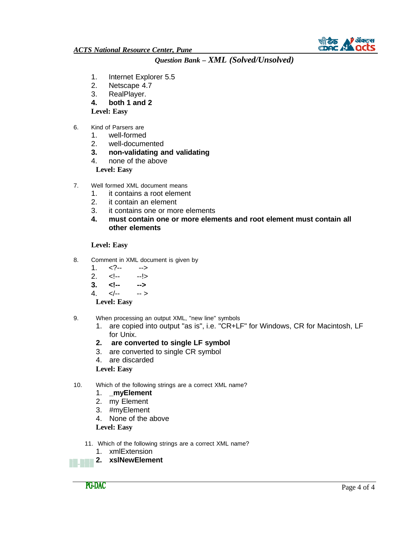

- 1. Internet Explorer 5.5
- 2. Netscape 4.7<br>3. RealPlayer.
- RealPlayer.
- **4. both 1 and 2**

**Level: Easy**

- 6. Kind of Parsers are
	- 1. well-formed
	- 2. well-documented
	- **3. non-validating and validating**
	- 4. none of the above **Level: Easy**
	-
- 7. Well formed XML document means
	- 1. it contains a root element
	- 2. it contain an element
	- 3. it contains one or more elements
	- **4. must contain one or more elements and root element must contain all other elements**

### **Level: Easy**

- 8. Comment in XML document is given by
	- $1. -- -->$
	- 2. <!-- --!>
	- **3. <!-- -->**
	- 4.  $\lt/$ -- -->

**Level: Easy**

- 9. When processing an output XML, "new line" symbols
	- 1. are copied into output "as is", i.e. "CR+LF" for Windows, CR for Macintosh, LF for Unix.
	- **2. are converted to single LF symbol**
	- 3. are converted to single CR symbol
	- 4. are discarded

### **Level: Easy**

- 10. Which of the following strings are a correct XML name?
	- 1. **\_myElement**
	- 2. my Element
	- 3. #myElement
	- 4. None of the above

**Level: Easy**

- 11. Which of the following strings are a correct XML name?
	- 1. xmlExtension

**2. xslNewElement**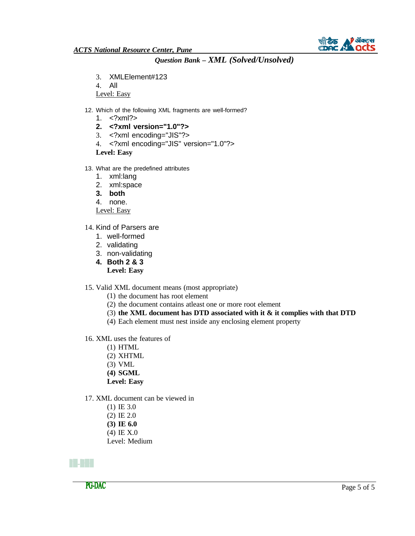

- 3. XMLElement#123
- 4. All

Level: Easy

- 12. Which of the following XML fragments are well-formed?
	- 1. <?xml?>
	- **2. <?xml version="1.0"?>**
	- 3. <?xml encoding="JIS"?>
	- 4. <?xml encoding="JIS" version="1.0"?>

**Level: Easy**

- 13. What are the predefined attributes
	- 1. xml:lang
	- 2. xml:space
	- **3. both**
	- 4. none.

Level: Easy

- 14. Kind of Parsers are
	- 1. well-formed
	- 2. validating
	- 3. non-validating
	- **4. Both 2 & 3**
		- **Level: Easy**

15. Valid XML document means (most appropriate)

- (1) the document has root element
- (2) the document contains atleast one or more root element
- (3) **the XML document has DTD associated with it & it complies with that DTD**
- (4) Each element must nest inside any enclosing element property
- 16. XML uses the features of
	- (1) HTML
	- (2) XHTML
	- (3) VML
	- **(4) SGML**
	- **Level: Easy**
- 17. XML document can be viewed in
	- (1) IE 3.0
	- (2) IE 2.0
	- **(3) IE 6.0**
	- (4) IE X.0
	- Level: Medium

### n III d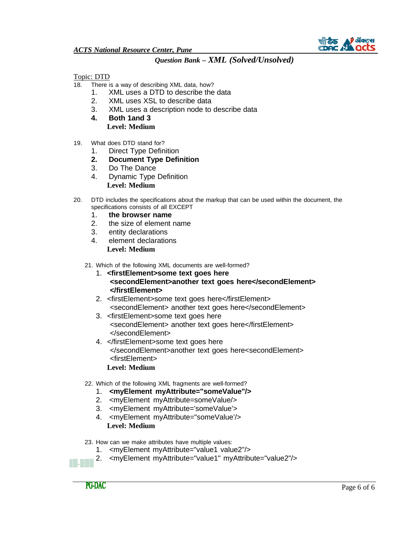

Topic: DTD

- 18. There is a way of describing XML data, how?
	- 1. XML uses a DTD to describe the data
	- 2. XML uses XSL to describe data
	- 3. XML uses a description node to describe data
	- **4. Both 1and 3 Level: Medium**
- 19. What does DTD stand for?
	- 1. Direct Type Definition
	- **2. Document Type Definition**
	- 3. Do The Dance
	- 4. Dynamic Type Definition **Level: Medium**
- 20. DTD includes the specifications about the markup that can be used within the document, the specifications consists of all EXCEPT
	- 1. **the browser name**
	- 2. the size of element name
	- 3. entity declarations
	- 4. element declarations **Level: Medium**
	- 21. Which of the following XML documents are well-formed?
		- 1. **<firstElement>some text goes here <secondElement>another text goes here</secondElement> </firstElement>**
		- 2. <firstElement>some text goes here</firstElement> <secondElement> another text goes here</secondElement>
		- 3. <firstElement>some text goes here <secondElement> another text goes here</firstElement> </secondElement>
		- 4. </firstElement>some text goes here </secondElement>another text goes here<secondElement> <firstElement>
			- **Level: Medium**
	- 22. Which of the following XML fragments are well-formed?
		- 1. **<myElement myAttribute="someValue"/>**
		- 2. <myElement myAttribute=someValue/>
		- 3. <myElement myAttribute='someValue'>
		- 4. <myElement myAttribute="someValue'/> **Level: Medium**

23. How can we make attributes have multiple values:

- 1. <myElement myAttribute="value1 value2"/>
- 2. <myElement myAttribute="value1" myAttribute="value2"/>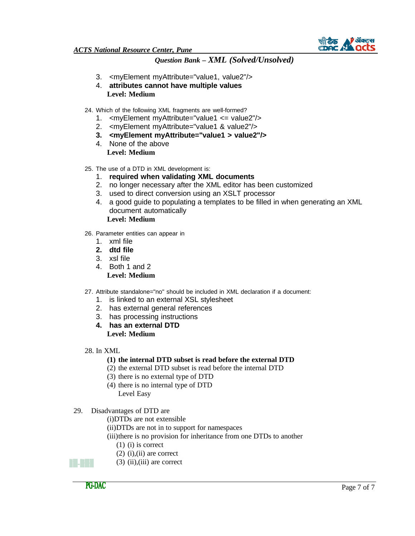

- 3. <myElement myAttribute="value1, value2"/>
- 4. **attributes cannot have multiple values Level: Medium**
- 24. Which of the following XML fragments are well-formed?
	- 1. <myElement myAttribute="value1 <= value2"/>
	- 2. <myElement myAttribute="value1 & value2"/>
	- **3. <myElement myAttribute="value1 > value2"/>**
	- 4. None of the above **Level: Medium**
- 25. The use of a DTD in XML development is:
	- 1. **required when validating XML documents**
	- 2. no longer necessary after the XML editor has been customized
	- 3. used to direct conversion using an XSLT processor
	- 4. a good guide to populating a templates to be filled in when generating an XML document automatically

**Level: Medium**

- 26. Parameter entities can appear in
	- 1. xml file
	- **2. dtd file**
	- 3. xsl file
	- 4. Both 1 and 2 **Level: Medium**
- 27. Attribute standalone="no" should be included in XML declaration if a document:
	- 1. is linked to an external XSL stylesheet
	- 2. has external general references
	- 3. has processing instructions
	- **4. has an external DTD Level: Medium**
- 28. In XML

#### **(1) the internal DTD subset is read before the external DTD**

- (2) the external DTD subset is read before the internal DTD
- (3) there is no external type of DTD
- (4) there is no internal type of DTD Level Easy
- 29. Disadvantages of DTD are
	- (i)DTDs are not extensible
	- (ii)DTDs are not in to support for namespaces
	- (iii)there is no provision for inheritance from one DTDs to another
		- (1) (i) is correct
		- $(2)$  (i), (ii) are correct

 $(3)$  (ii), (iii) are correct

an an Ind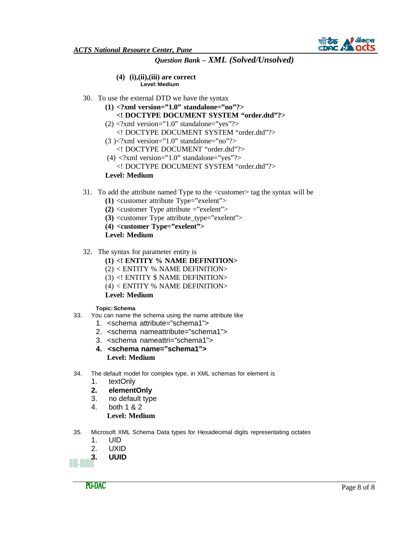**(4) (i),(ii),(iii) are correct Level: Medium**

- 30. To use the external DTD we have the syntax
	- **(1) <?xml version="1.0" standalone="no"?>**
		- **<! DOCTYPE DOCUMENT SYSTEM "order.dtd"?>**
	- $(2)$  <?xml version="1.0" standalone="yes"?>
		- <! DOCTYPE DOCUMENT SYSTEM "order.dtd"?>
	- $(3)$  <?xml version="1.0" standalone="no"?>
		- <! DOCTYPE DOCUMENT "order.dtd"?>
	- $(4)$  <?xml version="1.0" standalone="yes"?>
	- <! DOCTYPE DOCUMENT SYSTEM "order.dtd"?>

**Level: Medium**

- 31. To add the attribute named Type to the <customer> tag the syntax will be
	- **(1)** <customer attribute Type="exelent">
	- **(2)** <customer Type attribute ="exelent">
	- **(3)** <customer Type attribute\_type="exelent">
	- **(4) <customer Type="exelent">**
	- **Level: Medium**
- 32. The syntax for parameter entity is
	- **(1) <! ENTITY % NAME DEFINITION>**
	- (2) < ENTITY % NAME DEFINITION>
	- (3) <! ENTITY \$ NAME DEFINITION>
	- (4) < ENTITY % NAME DEFINITION>

#### **Level: Medium**

#### **Topic: Schema**

- 33. You can name the schema using the name attribute like
	- 1. <schema attribute="schema1">
	- 2. <schema nameattribute="schema1">
	- 3. <schema nameattri="schema1">
	- **4. <schema name="schema1"> Level: Medium**
- 34. The default model for complex type, in XML schemas for element is
	- 1. textOnly
	- **2. elementOnly**
	- 3. no default type
	- 4. both 1 & 2 **Level: Medium**
- 35. Microsoft XML Schema Data types for Hexadecimal digits representating octates
	- 1. UID
	- 2. UXID
	- **3. UUID**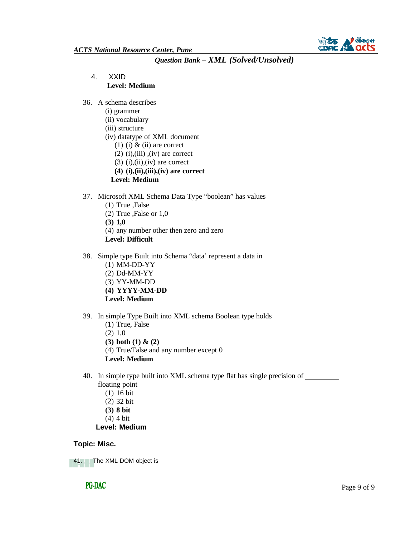

- 4. XXID **Level: Medium**
- 36. A schema describes
	- (i) grammer
	- (ii) vocabulary
	- (iii) structure
	- (iv) datatype of XML document
		- (1) (i)  $\&$  (ii) are correct
		- $(2)$  (i),(iii),(iv) are correct
		- $(3)$  (i),(ii),(iv) are correct
		- **(4) (i),(ii),(iii),(iv) are correct**
		- **Level: Medium**
- 37. Microsoft XML Schema Data Type "boolean" has values
	- (1) True ,False
	- (2) True ,False or 1,0
	- **(3) 1,0**
	- (4) any number other then zero and zero
	- **Level: Difficult**
- 38. Simple type Built into Schema "data' represent a data in
	- (1) MM-DD-YY
	- (2) Dd-MM-YY
	- (3) YY-MM-DD
	- **(4) YYYY-MM-DD**
	- **Level: Medium**
- 39. In simple Type Built into XML schema Boolean type holds
	- (1) True, False
	- (2) 1,0
	- **(3) both (1) & (2)**
	- (4) True/False and any number except 0
	- **Level: Medium**

40. In simple type built into XML schema type flat has single precision of

- floating point
	- (1) 16 bit
	- (2) 32 bit
	- **(3) 8 bit**
	- (4) 4 bit

#### **Level: Medium**

#### **Topic: Misc.**

41. The XML DOM object is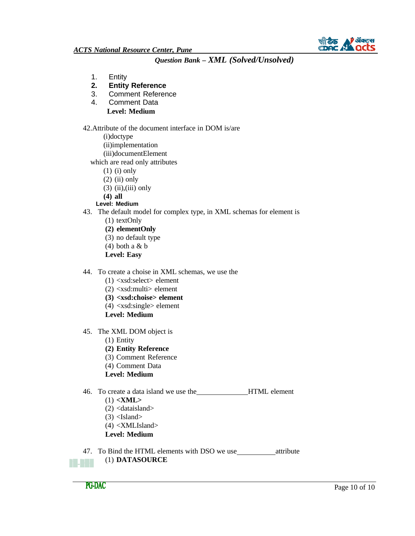

- 1. Entity
- **2. Entity Reference**
- 3. Comment Reference
- 4. Comment Data **Level: Medium**
- 42.Attribute of the document interface in DOM is/are
	- (i)doctype
	- (ii)implementation
	- (iii)documentElement
	- which are read only attributes
		- (1) (i) only
		- $(2)$  (ii) only
		- $(3)$  (ii),(iii) only
		- **(4) all**

#### **Level: Medium**

- 43. The default model for complex type, in XML schemas for element is
	- (1) textOnly
	- **(2) elementOnly**
	- (3) no default type
	- $(4)$  both a & b
	- **Level: Easy**
- 44. To create a choise in XML schemas, we use the
	- (1) <xsd:select> element
	- $(2)$  <xsd:multi> element
	- **(3) <xsd:choise> element**
	- $(4)$  <xsd:single> element
	- **Level: Medium**
- 45. The XML DOM object is
	- (1) Entity
	- **(2) Entity Reference**
	- (3) Comment Reference
	- (4) Comment Data
	- **Level: Medium**
- 46. To create a data island we use the **HTML** element
	- (1) **<XML>**
	- $(2)$  <dataisland>
	- $(3)$  <Island>
	- $(4)$  <XMLIsland>
	- **Level: Medium**
- 47. To Bind the HTML elements with DSO we use\_\_\_\_\_\_\_\_\_\_\_\_attribute (1) **DATASOURCE**B. Juli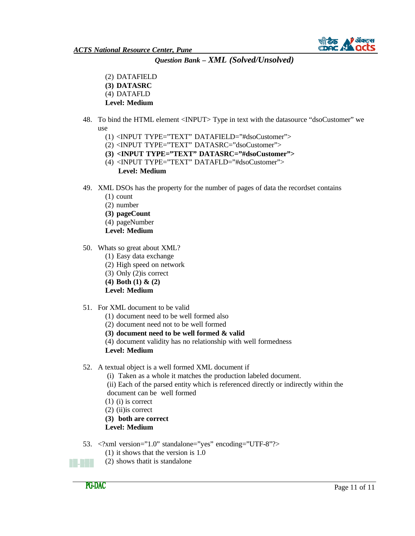

(2) DATAFIELD **(3) DATASRC** (4) DATAFLD **Level: Medium**

- 48. To bind the HTML element <INPUT> Type in text with the datasource "dsoCustomer" we use
	- (1) <INPUT TYPE="TEXT" DATAFIELD="#dsoCustomer">
	- (2) <INPUT TYPE="TEXT" DATASRC="dsoCustomer">
	- **(3) <INPUT TYPE="TEXT" DATASRC="#dsoCustomer">**
	- (4) <INPUT TYPE="TEXT" DATAFLD="#dsoCustomer"> **Level: Medium**
- 49. XML DSOs has the property for the number of pages of data the recordset contains
	- (1) count
	- (2) number
	- **(3) pageCount**
	- (4) pageNumber
	- **Level: Medium**
- 50. Whats so great about XML?
	- (1) Easy data exchange
	- (2) High speed on network
	- (3) Only (2)is correct
	- **(4) Both (1) & (2)**

#### **Level: Medium**

- 51. For XML document to be valid
	- (1) document need to be well formed also
	- (2) document need not to be well formed
	- **(3) document need to be well formed & valid**
	- (4) document validity has no relationship with well formedness

**Level: Medium**

52. A textual object is a well formed XML document if

(i) Taken as a whole it matches the production labeled document.

(ii) Each of the parsed entity which is referenced directly or indirectly within the document can be well formed

- (1) (i) is correct
- (2) (ii)is correct

**(3) both are correct** 

**Level: Medium**

- 53. <?xml version="1.0" standalone="yes" encoding="UTF-8"?>
	- (1) it shows that the version is 1.0
	- (2) shows thatit is standalone

**PG-DAC** 

8 M M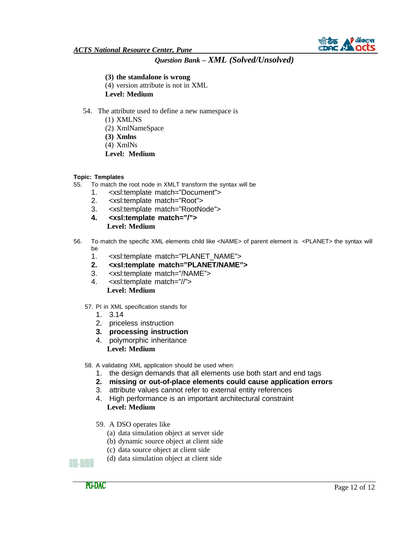

#### **(3) the standalone is wrong**

- (4) version attribute is not in XML
- **Level: Medium**
- 54. The attribute used to define a new namespace is
	- (1) XMLNS
		- (2) XmlNameSpace
		- **(3) Xmlns**
		- (4) XmlNs
	- **Level: Medium**

#### **Topic: Templates**

- 55. To match the root node in XMLT transform the syntax will be
	- 1. <xsl:template match="Document">
	- 2. <xsl:template match="Root">
	- 3. <xsl:template match="RootNode">
	- **4. <xsl:template match="/"> Level: Medium**
- 56. To match the specific XML elements child like <NAME> of parent element is <PLANET> the syntax will be
	- 1. <xsl:template match="PLANET\_NAME">
	- **2. <xsl:template match="PLANET/NAME">**
	- 3. <xsl:template match="/NAME">
	- 4. <xsl:template match="//"> **Level: Medium**
	- 57. PI in XML specification stands for
		- 1. 3.14
		- 2. priceless instruction
		- **3. processing instruction**
		- 4. polymorphic inheritance **Level: Medium**
	- 58. A validating XML application should be used when:
		- 1. the design demands that all elements use both start and end tags
		- **2. missing or out-of-place elements could cause application errors**
		- 3. attribute values cannot refer to external entity references
		- 4. High performance is an important architectural constraint **Level: Medium**
		- 59. A DSO operates like
			- (a) data simulation object at server side
			- (b) dynamic source object at client side
			- (c) data source object at client side
			- (d) data simulation object at client side



a shekara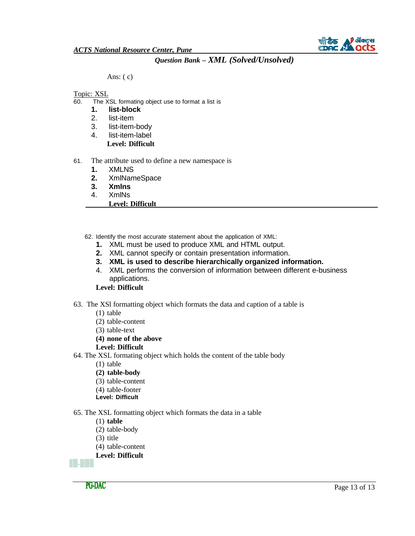#### Ans:  $(c)$

#### Topic: XSL

- 60. The XSL formating object use to format a list is<br>**1. list-block** 
	- **1. list-block**
	- 2. list-item
	- 3. list-item-body
	- 4. list-item-label **Level: Difficult**
- 61. The attribute used to define a new namespace is
	- **1.** XMLNS
	- **2.** XmlNameSpace
	- **3. Xmlns**
	- 4. XmlNs
	- **Level: Difficult**
	- 62. Identify the most accurate statement about the application of XML:
		- **1.** XML must be used to produce XML and HTML output.
		- **2.** XML cannot specify or contain presentation information.
		- **3. XML is used to describe hierarchically organized information.**
		- 4. XML performs the conversion of information between different e-business applications.

### **Level: Difficult**

- 63. The XSl formatting object which formats the data and caption of a table is
	- (1) table
	- (2) table-content
	- (3) table-text
	- **(4) none of the above**
	- **Level: Difficult**
- 64. The XSL formating object which holds the content of the table body
	- (1) table
	- **(2) table-body**
	- (3) table-content
	- (4) table-footer
	- **Level: Difficult**
- 65. The XSL formatting object which formats the data in a table
	- (1) **table**
	- (2) table-body
	- (3) title
	- (4) table-content
	- **Level: Difficult**

**TALL**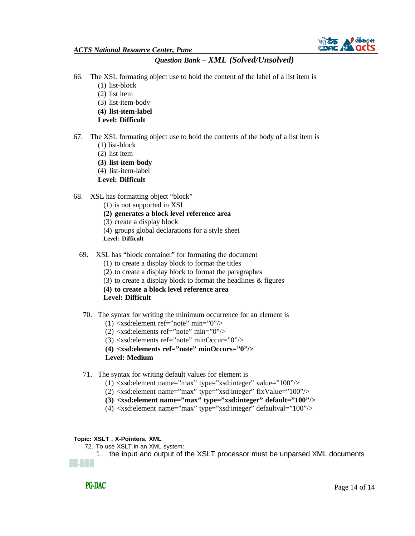

- 66. The XSL formating object use to hold the content of the label of a list item is
	- (1) list-block
	- (2) list item
	- (3) list-item-body
	- **(4) list-item-label**
	- **Level: Difficult**
- 67. The XSL formating object use to hold the contents of the body of a list item is
	- (1) list-block
	- (2) list item
	- **(3) list-item-body**
	- (4) list-item-label
	- **Level: Difficult**
- 68. XSL has formatting object "block"
	- (1) is not supported in XSL
	- **(2) generates a block level reference area**
	- (3) create a display block
	- (4) groups global declarations for a style sheet
	- **Level: Difficult**
	- 69. XSL has "block container" for formating the document
		- (1) to create a display block to format the titles
		- (2) to create a display block to format the paragraphes
		- (3) to create a display block to format the headlines & figures
		- **(4) to create a block level reference area**

**Level: Difficult**

- 70. The syntax for writing the minimum occurrence for an element is
	- $(1)$  <xsd: element ref="note" min="0"/>
	- $(2)$  <xsd: elements ref="note" min="0"/>
	- $(3)$  <xsd:elements ref="note" minOccur="0"/>
	- **(4) <xsd:elements ref="note" minOccurs="0"/>**
	- **Level: Medium**
- 71. The syntax for writing default values for element is
	- $(1)$  <xsd:element name="max" type="xsd:integer" value="100"/>
	- $(2)$  <xsd:element name="max" type="xsd:integer" fixValue="100"/>
	- **(3) <xsd:element name="max" type="xsd:integer" default="100"/>**
	- (4) <xsd:element name="max" type="xsd:integer" defaultval="100"/>

### **Topic: XSLT , X-Pointers, XML**

- 72. To use XSLT in an XML system:
	- 1. the input and output of the XSLT processor must be unparsed XML documents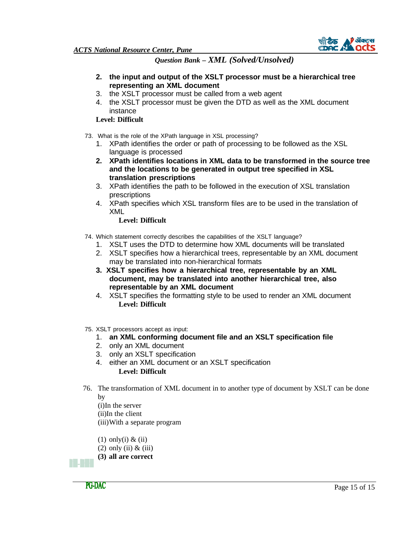

- **2. the input and output of the XSLT processor must be a hierarchical tree representing an XML document**
- 3. the XSLT processor must be called from a web agent
- 4. the XSLT processor must be given the DTD as well as the XML document instance

### **Level: Difficult**

- 73. What is the role of the XPath language in XSL processing?
	- 1. XPath identifies the order or path of processing to be followed as the XSL language is processed
	- **2. XPath identifies locations in XML data to be transformed in the source tree and the locations to be generated in output tree specified in XSL translation prescriptions**
	- 3. XPath identifies the path to be followed in the execution of XSL translation prescriptions
	- 4. XPath specifies which XSL transform files are to be used in the translation of XML

**Level: Difficult**

- 74. Which statement correctly describes the capabilities of the XSLT language?
	- 1. XSLT uses the DTD to determine how XML documents will be translated
	- 2. XSLT specifies how a hierarchical trees, representable by an XML document may be translated into non-hierarchical formats
	- **3. XSLT specifies how a hierarchical tree, representable by an XML document, may be translated into another hierarchical tree, also representable by an XML document**
	- 4. XSLT specifies the formatting style to be used to render an XML document **Level: Difficult**
- 75. XSLT processors accept as input:
	- 1. **an XML conforming document file and an XSLT specification file**
	- 2. only an XML document
	- 3. only an XSLT specification
	- 4. either an XML document or an XSLT specification **Level: Difficult**
- 76. The transformation of XML document in to another type of document by XSLT can be done by

(i)In the server (ii)In the client (iii)With a separate program

- (1) only(i)  $&$  (ii)
- $(2)$  only  $(ii)$  &  $(iii)$
- **(3) all are correct**

**PG-DAC** 

**Film**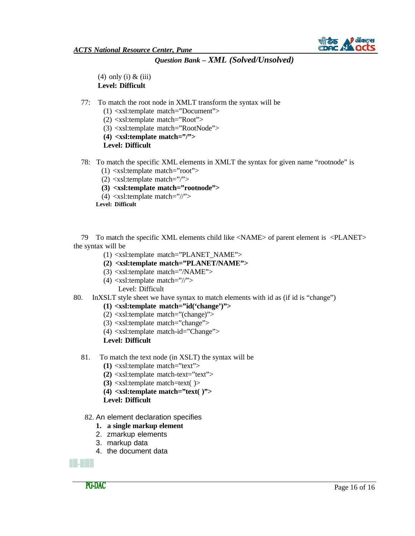

 $(4)$  only  $(i)$  &  $(iii)$ **Level: Difficult**

- 77: To match the root node in XMLT transform the syntax will be
	- (1) <xsl:template match="Document">
	- (2) <xsl:template match="Root">
	- (3) <xsl:template match="RootNode">
	- **(4) <xsl:template match="/">**

**Level: Difficult**

- 78: To match the specific XML elements in XMLT the syntax for given name "rootnode" is
	- (1) <xsl:template match="root">
	- $(2)$  <xsl:template match="/">
	- **(3) <xsl:template match="rootnode">**
	- $(4)$  <xsl:template match="//">

**Level: Difficult**

79 To match the specific XML elements child like <NAME> of parent element is <PLANET> the syntax will be

- (1) <xsl:template match="PLANET\_NAME">
- **(2) <xsl:template match="PLANET/NAME">**
- (3) <xsl:template match="/NAME">
- $(4)$  <xsl:template match="//">
	- Level: Difficult
- 80. InXSLT style sheet we have syntax to match elements with id as (if id is "change")
	- **(1) <xsl:template match="id('change')">**
	- $(2)$  <xsl:template match="(change)">
	- (3) <xsl:template match="change">
	- (4) <xsl:template match-id="Change">

**Level: Difficult**

- 81. To match the text node (in XSLT) the syntax will be
	- **(1)** <xsl:template match="text">
	- **(2)** <xsl:template match-text="text">
	- **(3)** <xsl:template match=text( )>
	- **(4) <xsl:template match="text( )">**
	- **Level: Difficult**
- 82. An element declaration specifies
	- **1. a single markup element**
	- 2. zmarkup elements
	- 3. markup data
	- 4. the document data

a kata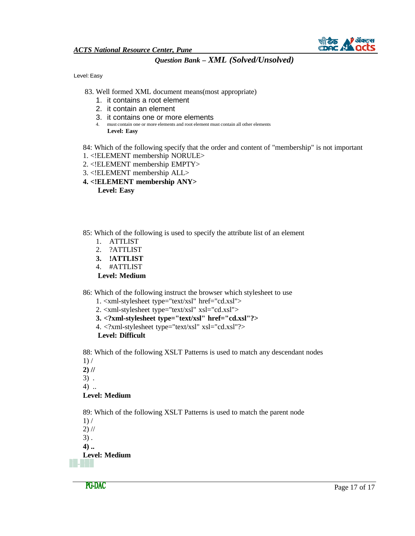

Level: Easy

- 83. Well formed XML document means(most appropriate)
	- 1. it contains a root element
	- 2. it contain an element
	- 3. it contains one or more elements
	- 4. must contain one or more elements and root element must contain all other elements **Level: Easy**

84: Which of the following specify that the order and content of "membership" is not important

- 1. <!ELEMENT membership NORULE>
- 2. <!ELEMENT membership EMPTY>
- 3. <!ELEMENT membership ALL>
- **4. <!ELEMENT membership ANY> Level: Easy**
- 85: Which of the following is used to specify the attribute list of an element
	- 1. ATTLIST
	- 2. ?ATTLIST
	- **3. !ATTLIST**
	- 4. #ATTLIST
	- **Level: Medium**

86: Which of the following instruct the browser which stylesheet to use

- 1. <xml-stylesheet type="text/xsl" href="cd.xsl">
- 2. <xml-stylesheet type="text/xsl" xsl="cd.xsl">
- **3. <?xml-stylesheet type="text/xsl" href="cd.xsl"?>**
- 4. <?xml-stylesheet type="text/xsl" xsl="cd.xsl"?>
- **Level: Difficult**

88: Which of the following XSLT Patterns is used to match any descendant nodes  $1) /$ 

- **2) //**
- 3) .

4) ..

### **Level: Medium**

89: Which of the following XSLT Patterns is used to match the parent node

 $1) /$  $2)$  //

3) .

**4) ..**

#### **Level: MediumMaria Bar**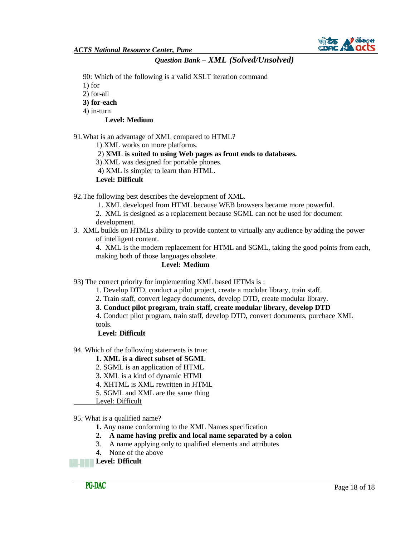

90: Which of the following is a valid XSLT iteration command

1) for

2) for-all

**3) for-each**

4) in-turn

### **Level: Medium**

91.What is an advantage of XML compared to HTML?

1) XML works on more platforms.

2) **XML is suited to using Web pages as front ends to databases.**

3) XML was designed for portable phones.

4) XML is simpler to learn than HTML.

#### **Level: Difficult**

92.The following best describes the development of XML.

1. XML developed from HTML because WEB browsers became more powerful.

2. XML is designed as a replacement because SGML can not be used for document development.

3. XML builds on HTMLs ability to provide content to virtually any audience by adding the power of intelligent content.

4. XML is the modern replacement for HTML and SGML, taking the good points from each, making both of those languages obsolete.

### **Level: Medium**

93) The correct priority for implementing XML based IETMs is :

1. Develop DTD, conduct a pilot project, create a modular library, train staff.

2. Train staff, convert legacy documents, develop DTD, create modular library.

**3. Conduct pilot program, train staff, create modular library, develop DTD**

4. Conduct pilot program, train staff, develop DTD, convert documents, purchace XML tools.

**Level: Difficult**

94. Which of the following statements is true:

### **1. XML is a direct subset of SGML**

2. SGML is an application of HTML

3. XML is a kind of dynamic HTML

- 4. XHTML is XML rewritten in HTML
- 5. SGML and XML are the same thing
- Level: Difficult

95. What is a qualified name?

**1.** Any name conforming to the XML Names specification

**2. A name having prefix and local name separated by a colon**

- 3. A name applying only to qualified elements and attributes
- 4. None of the above

**Level: Dfficult**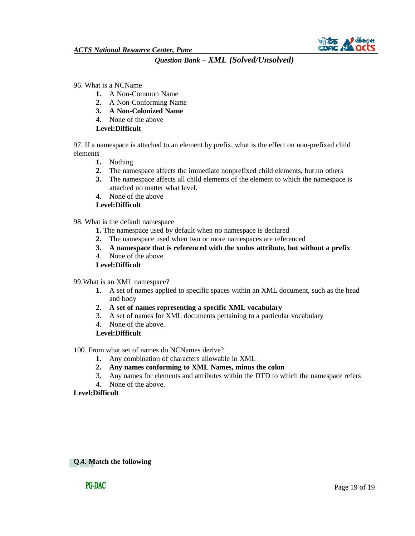

- 96. What is a NCName
	- **1.** A Non-Common Name
	- **2.** A Non-Conforming Name
	- **3. A Non-Colonized Name**
	- 4. None of the above

**Level:Difficult**

97. If a namespace is attached to an element by prefix, what is the effect on non-prefixed child elements

- **1.** Nothing
- **2.** The namespace affects the immediate nonprefixed child elements, but no others
- **3.** The namespace affects all child elements of the element to which the namespace is attached no matter what level.
- **4.** None of the above

### **Level:Difficult**

- 98. What is the default namespace
	- **1.** The namespace used by default when no namespace is declared
	- **2.** The namespace used when two or more namespaces are referenced
	- **3. A namespace that is referenced with the xmlns attribute, but without a prefix**
	- 4. None of the above
	- **Level:Difficult**
- 99.What is an XML namespace?
	- **1.** A set of names applied to specific spaces within an XML document, such as the head and body
	- **2. A set of names representing a specific XML vocabulary**
	- 3. A set of names for XML documents pertaining to a particular vocabulary
	- 4. None of the above.

### **Level:Difficult**

- 100. From what set of names do NCNames derive?
	- **1.** Any combination of characters allowable in XML
	- **2. Any names conforming to XML Names, minus the colon**
	- 3. Any names for elements and attributes within the DTD to which the namespace refers
	- 4. None of the above.

### **Level:Difficult**

**Q.4. Match the following**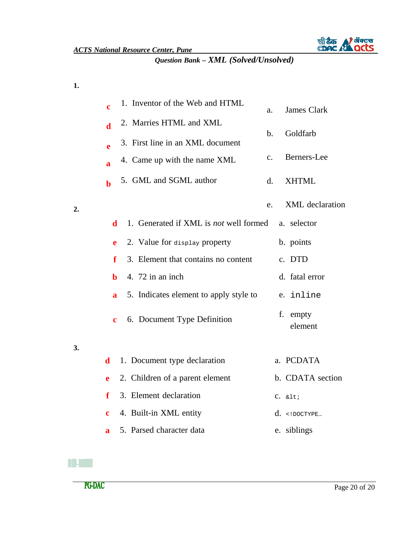

**1.**

**2.**

**3.**

| 1. Inventor of the Web and HTML<br>$\mathbf c$                             | James Clark<br>a.             |
|----------------------------------------------------------------------------|-------------------------------|
| 2. Marries HTML and XML<br>$\mathbf d$<br>3. First line in an XML document | Goldfarb<br>$\mathbf b$ .     |
| e<br>4. Came up with the name XML<br>$\mathbf{a}$                          | Berners-Lee<br>$\mathbf{c}$ . |
| 5. GML and SGML author<br>$\mathbf b$                                      | <b>XHTML</b><br>d.            |
|                                                                            | XML declaration<br>e.         |
| 1. Generated if XML is not well formed<br>d                                | a. selector                   |
| 2. Value for display property<br>e                                         | b. points                     |
| 3. Element that contains no content<br>f                                   | c. DTD                        |
| 4. 72 in an inch<br>$\mathbf b$                                            | d. fatal error                |
| 5. Indicates element to apply style to<br>$\overline{\mathbf{a}}$          | e. inline                     |
| 6. Document Type Definition<br>$\mathbf c$                                 | f. empty<br>element           |
| 1. Document type declaration<br>$\mathbf d$                                | a. PCDATA                     |
| 2. Children of a parent element<br>e                                       | b. CDATA section              |
| 3. Element declaration<br>f                                                | $C. \< l$                     |
| 4. Built-in XML entity<br>c                                                | $d.$ DOCTYPE</th              |
| 5. Parsed character data<br>a                                              | e. siblings                   |

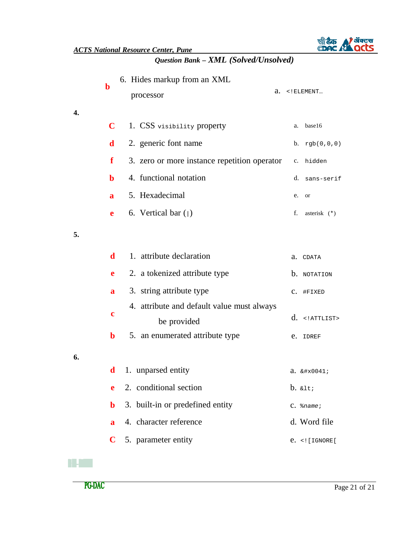|    | $\mathbf b$  | 6. Hides markup from an XML<br>а.<br>processor            | $\langle$ ! ELEMENT       |
|----|--------------|-----------------------------------------------------------|---------------------------|
| 4. | $\mathbf C$  | 1. CSS visibility property                                | base16<br>a.              |
|    | d            | 2. generic font name                                      | $b. \text{rgb}(0,0,0)$    |
|    | f            | 3. zero or more instance repetition operator c. hidden    |                           |
|    | b            | 4. functional notation                                    | $d_{\cdot}$<br>sans-serif |
|    | $\mathbf a$  | 5. Hexadecimal                                            | e.<br>or                  |
|    | e            | 6. Vertical bar $($  )                                    | f.<br>asterisk (*)        |
| 5. |              |                                                           |                           |
|    | d            | 1. attribute declaration                                  | a. CDATA                  |
|    | e            | 2. a tokenized attribute type                             | <b>b.</b> NOTATION        |
|    | a            | 3. string attribute type                                  | C. #FIXED                 |
|    | $\mathbf c$  | 4. attribute and default value must always<br>be provided | $d.$ ATTLIST              |
|    | $\mathbf b$  | 5. an enumerated attribute type                           | e. IDREF                  |
| 6. |              |                                                           |                           |
|    | $\mathbf d$  | 1. unparsed entity                                        | $a. \& \#x0041;$          |
|    | e            | 2. conditional section                                    | $b.$ & lt;                |
|    | $\mathbf b$  | 3. built-in or predefined entity                          | $C.$ $%$ name;            |
|    | $\mathbf{a}$ | 4. character reference                                    | d. Word file              |
|    | $\mathbf C$  | 5. parameter entity                                       | $e.$ [ <math IGNORE [     |



n an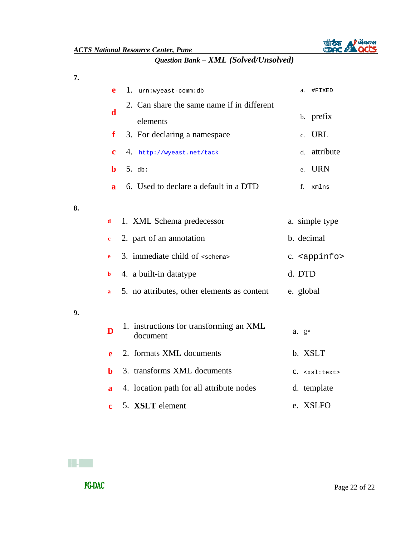

**7.**

**8.**

|    | e            | 1. urn:wyeast-comm:db                               | a.<br>#FIXED                 |
|----|--------------|-----------------------------------------------------|------------------------------|
|    | d            | 2. Can share the same name if in different          |                              |
|    |              | elements                                            | prefix<br>b.                 |
|    | f            | 3. For declaring a namespace                        | <b>URL</b><br>$\mathbf{c}$ . |
|    | $\mathbf c$  | 4. http://wyeast.net/tack                           | attribute<br>d.              |
|    | b            | $5.$ db:                                            | <b>URN</b><br>e.             |
|    | $\mathbf{a}$ | 6. Used to declare a default in a DTD               | f.<br>xmlns                  |
| 8. |              |                                                     |                              |
|    | d            | 1. XML Schema predecessor                           | a. simple type               |
|    | $\mathbf c$  | 2. part of an annotation                            | b. decimal                   |
|    | e            | 3. immediate child of $\epsilon$ schema>            | c. <appinfo></appinfo>       |
|    | b            | 4. a built-in datatype                              | d. DTD                       |
|    | a            | 5. no attributes, other elements as content         | e. global                    |
| 9. |              |                                                     |                              |
|    | D            | 1. instructions for transforming an XML<br>document | $a. \; \; \mathbf{e}^*$      |
|    | e            | 2. formats XML documents                            | b. XSLT                      |
|    | h            | 3. transforms XML documents                         | $C.$ $<$ xsl:text>           |
|    | $\mathbf{a}$ | 4. location path for all attribute nodes            | d. template                  |
|    | c            | 5. XSLT element                                     | e. XSLFO                     |